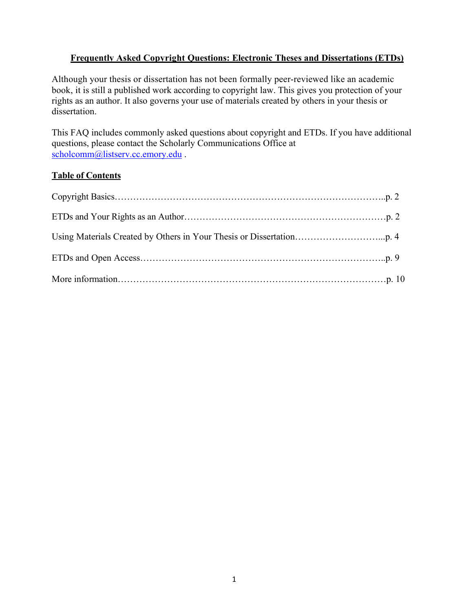### **Frequently Asked Copyright Questions: Electronic Theses and Dissertations (ETDs)**

Although your thesis or dissertation has not been formally peer-reviewed like an academic book, it is still a published work according to copyright law. This gives you protection of your rights as an author. It also governs your use of materials created by others in your thesis or dissertation.

This FAQ includes commonly asked questions about copyright and ETDs. If you have additional questions, please contact the Scholarly Communications Office at scholcomm@listserv.cc.emory.edu .

### **Table of Contents**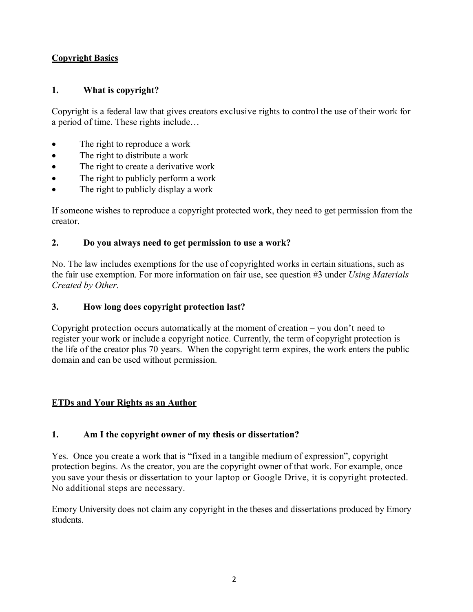### **Copyright Basics**

### **1. What is copyright?**

Copyright is a federal law that gives creators exclusive rights to control the use of their work for a period of time. These rights include…

- The right to reproduce a work
- The right to distribute a work
- The right to create a derivative work
- The right to publicly perform a work
- The right to publicly display a work

If someone wishes to reproduce a copyright protected work, they need to get permission from the creator.

### **2. Do you always need to get permission to use a work?**

No. The law includes exemptions for the use of copyrighted works in certain situations, such as the fair use exemption. For more information on fair use, see question #3 under *Using Materials Created by Other*.

### **3. How long does copyright protection last?**

Copyright protection occurs automatically at the moment of creation – you don't need to register your work or include a copyright notice. Currently, the term of copyright protection is the life of the creator plus 70 years. When the copyright term expires, the work enters the public domain and can be used without permission.

### **ETDs and Your Rights as an Author**

### **1. Am I the copyright owner of my thesis or dissertation?**

Yes. Once you create a work that is "fixed in a tangible medium of expression", copyright protection begins. As the creator, you are the copyright owner of that work. For example, once you save your thesis or dissertation to your laptop or Google Drive, it is copyright protected. No additional steps are necessary.

Emory University does not claim any copyright in the theses and dissertations produced by Emory students.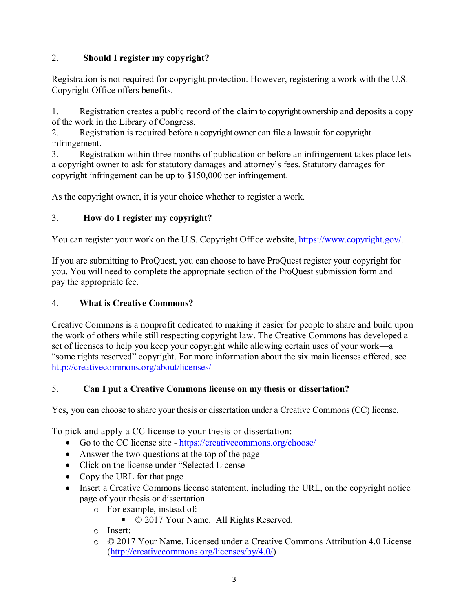## 2. **Should I register my copyright?**

Registration is not required for copyright protection. However, registering a work with the U.S. Copyright Office offers benefits.

1. Registration creates a public record of the claim to copyright ownership and deposits a copy of the work in the Library of Congress.

2. Registration is required before a copyright owner can file a lawsuit for copyright infringement.

3. Registration within three months of publication or before an infringement takes place lets a copyright owner to ask for statutory damages and attorney's fees. Statutory damages for copyright infringement can be up to \$150,000 per infringement.

As the copyright owner, it is your choice whether to register a work.

## 3. **How do I register my copyright?**

You can register your work on the U.S. Copyright Office website, https://www.copyright.gov/.

If you are submitting to ProQuest, you can choose to have ProQuest register your copyright for you. You will need to complete the appropriate section of the ProQuest submission form and pay the appropriate fee.

## 4. **What is Creative Commons?**

Creative Commons is a nonprofit dedicated to making it easier for people to share and build upon the work of others while still respecting copyright law. The Creative Commons has developed a set of licenses to help you keep your copyright while allowing certain uses of your work—a "some rights reserved" copyright. For more information about the six main licenses offered, see http://creativecommons.org/about/licenses/

## 5. **Can I put a Creative Commons license on my thesis or dissertation?**

Yes, you can choose to share your thesis or dissertation under a Creative Commons (CC) license.

To pick and apply a CC license to your thesis or dissertation:

- Go to the CC license site https://creativecommons.org/choose/
- Answer the two questions at the top of the page
- Click on the license under "Selected License
- Copy the URL for that page
- Insert a Creative Commons license statement, including the URL, on the copyright notice page of your thesis or dissertation.
	- o For example, instead of:
		- © 2017 Your Name. All Rights Reserved.
	- o Insert:
	- o © 2017 Your Name. Licensed under a Creative Commons Attribution 4.0 License (http://creativecommons.org/licenses/by/4.0/)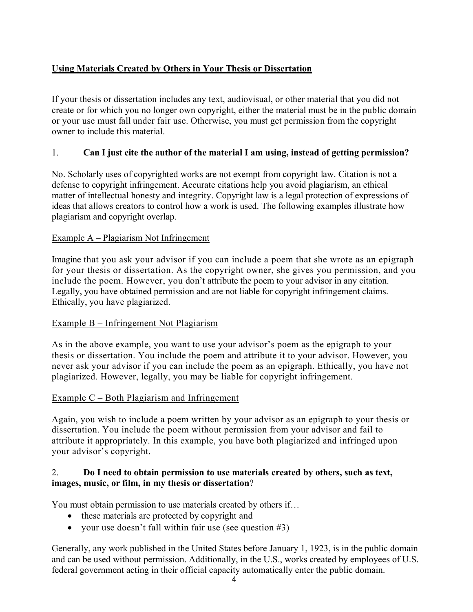## **Using Materials Created by Others in Your Thesis or Dissertation**

If your thesis or dissertation includes any text, audiovisual, or other material that you did not create or for which you no longer own copyright, either the material must be in the public domain or your use must fall under fair use. Otherwise, you must get permission from the copyright owner to include this material.

## 1. **Can I just cite the author of the material I am using, instead of getting permission?**

No. Scholarly uses of copyrighted works are not exempt from copyright law. Citation is not a defense to copyright infringement. Accurate citations help you avoid plagiarism, an ethical matter of intellectual honesty and integrity. Copyright law is a legal protection of expressions of ideas that allows creators to control how a work is used. The following examples illustrate how plagiarism and copyright overlap.

### Example A – Plagiarism Not Infringement

Imagine that you ask your advisor if you can include a poem that she wrote as an epigraph for your thesis or dissertation. As the copyright owner, she gives you permission, and you include the poem. However, you don't attribute the poem to your advisor in any citation. Legally, you have obtained permission and are not liable for copyright infringement claims. Ethically, you have plagiarized.

### Example B – Infringement Not Plagiarism

As in the above example, you want to use your advisor's poem as the epigraph to your thesis or dissertation. You include the poem and attribute it to your advisor. However, you never ask your advisor if you can include the poem as an epigraph. Ethically, you have not plagiarized. However, legally, you may be liable for copyright infringement.

### Example C – Both Plagiarism and Infringement

Again, you wish to include a poem written by your advisor as an epigraph to your thesis or dissertation. You include the poem without permission from your advisor and fail to attribute it appropriately. In this example, you have both plagiarized and infringed upon your advisor's copyright.

### 2. **Do I need to obtain permission to use materials created by others, such as text, images, music, or film, in my thesis or dissertation**?

You must obtain permission to use materials created by others if…

- these materials are protected by copyright and
- your use doesn't fall within fair use (see question  $#3$ )

Generally, any work published in the United States before January 1, 1923, is in the public domain and can be used without permission. Additionally, in the U.S., works created by employees of U.S. federal government acting in their official capacity automatically enter the public domain.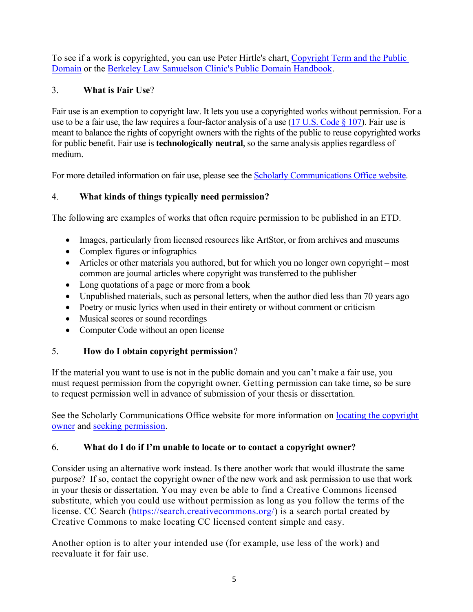To see if a work is copyrighted, you can use Peter Hirtle's chart, Copyright Term and the Public Domain or the Berkeley Law Samuelson Clinic's Public Domain Handbook.

# 3. **What is Fair Use**?

Fair use is an exemption to copyright law. It lets you use a copyrighted works without permission. For a use to be a fair use, the law requires a four-factor analysis of a use  $(17 \text{ U.S. Code } \S 107)$ . Fair use is meant to balance the rights of copyright owners with the rights of the public to reuse copyrighted works for public benefit. Fair use is **technologically neutral**, so the same analysis applies regardless of medium.

For more detailed information on fair use, please see the Scholarly Communications Office website.

# 4. **What kinds of things typically need permission?**

The following are examples of works that often require permission to be published in an ETD.

- Images, particularly from licensed resources like ArtStor, or from archives and museums
- Complex figures or infographics
- Articles or other materials you authored, but for which you no longer own copyright most common are journal articles where copyright was transferred to the publisher
- Long quotations of a page or more from a book
- Unpublished materials, such as personal letters, when the author died less than 70 years ago
- Poetry or music lyrics when used in their entirety or without comment or criticism
- Musical scores or sound recordings
- Computer Code without an open license

# 5. **How do I obtain copyright permission**?

If the material you want to use is not in the public domain and you can't make a fair use, you must request permission from the copyright owner. Getting permission can take time, so be sure to request permission well in advance of submission of your thesis or dissertation.

See the Scholarly Communications Office website for more information on locating the copyright owner and seeking permission.

# 6. **What do I do if I'm unable to locate or to contact a copyright owner?**

Consider using an alternative work instead. Is there another work that would illustrate the same purpose? If so, contact the copyright owner of the new work and ask permission to use that work in your thesis or dissertation. You may even be able to find a Creative Commons licensed substitute, which you could use without permission as long as you follow the terms of the license. CC Search (https://search.creativecommons.org/) is a search portal created by Creative Commons to make locating CC licensed content simple and easy.

Another option is to alter your intended use (for example, use less of the work) and reevaluate it for fair use.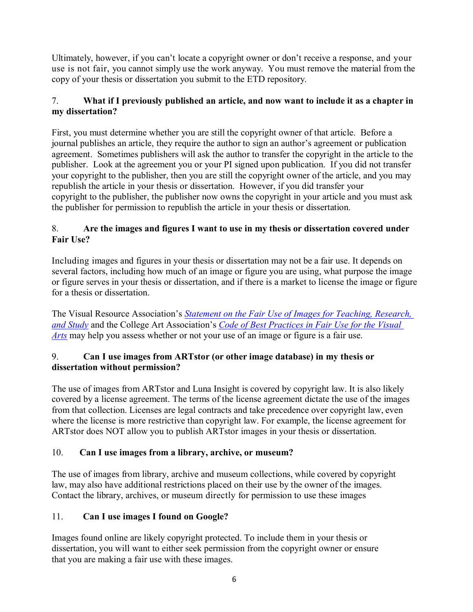Ultimately, however, if you can't locate a copyright owner or don't receive a response, and your use is not fair, you cannot simply use the work anyway. You must remove the material from the copy of your thesis or dissertation you submit to the ETD repository.

## 7. **What if I previously published an article, and now want to include it as a chapter in my dissertation?**

First, you must determine whether you are still the copyright owner of that article. Before a journal publishes an article, they require the author to sign an author's agreement or publication agreement. Sometimes publishers will ask the author to transfer the copyright in the article to the publisher. Look at the agreement you or your PI signed upon publication. If you did not transfer your copyright to the publisher, then you are still the copyright owner of the article, and you may republish the article in your thesis or dissertation. However, if you did transfer your copyright to the publisher, the publisher now owns the copyright in your article and you must ask the publisher for permission to republish the article in your thesis or dissertation.

### 8. **Are the images and figures I want to use in my thesis or dissertation covered under Fair Use?**

Including images and figures in your thesis or dissertation may not be a fair use. It depends on several factors, including how much of an image or figure you are using, what purpose the image or figure serves in your thesis or dissertation, and if there is a market to license the image or figure for a thesis or dissertation.

The Visual Resource Association's *Statement on the Fair Use of Images for Teaching, Research, and Study* and the College Art Association's *Code of Best Practices in Fair Use for the Visual Arts* may help you assess whether or not your use of an image or figure is a fair use.

### 9. **Can I use images from ARTstor (or other image database) in my thesis or dissertation without permission?**

The use of images from ARTstor and Luna Insight is covered by copyright law. It is also likely covered by a license agreement. The terms of the license agreement dictate the use of the images from that collection. Licenses are legal contracts and take precedence over copyright law, even where the license is more restrictive than copyright law. For example, the license agreement for ARTstor does NOT allow you to publish ARTstor images in your thesis or dissertation.

## 10. **Can I use images from a library, archive, or museum?**

The use of images from library, archive and museum collections, while covered by copyright law, may also have additional restrictions placed on their use by the owner of the images. Contact the library, archives, or museum directly for permission to use these images

## 11. **Can I use images I found on Google?**

Images found online are likely copyright protected. To include them in your thesis or dissertation, you will want to either seek permission from the copyright owner or ensure that you are making a fair use with these images.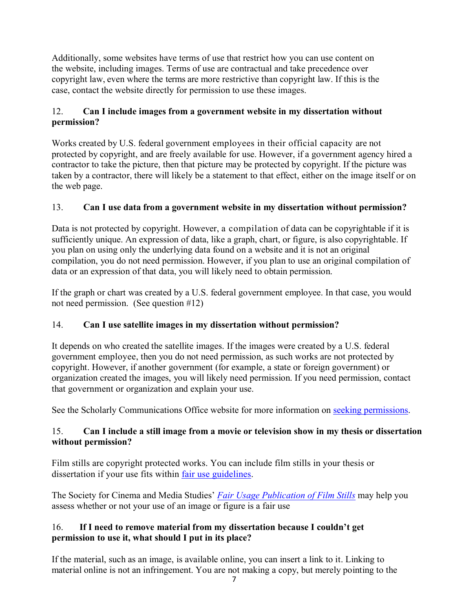Additionally, some websites have terms of use that restrict how you can use content on the website, including images. Terms of use are contractual and take precedence over copyright law, even where the terms are more restrictive than copyright law. If this is the case, contact the website directly for permission to use these images.

## 12. **Can I include images from a government website in my dissertation without permission?**

Works created by U.S. federal government employees in their official capacity are not protected by copyright, and are freely available for use. However, if a government agency hired a contractor to take the picture, then that picture may be protected by copyright. If the picture was taken by a contractor, there will likely be a statement to that effect, either on the image itself or on the web page.

## 13. **Can I use data from a government website in my dissertation without permission?**

Data is not protected by copyright. However, a compilation of data can be copyrightable if it is sufficiently unique. An expression of data, like a graph, chart, or figure, is also copyrightable. If you plan on using only the underlying data found on a website and it is not an original compilation, you do not need permission. However, if you plan to use an original compilation of data or an expression of that data, you will likely need to obtain permission.

If the graph or chart was created by a U.S. federal government employee. In that case, you would not need permission. (See question #12)

## 14. **Can I use satellite images in my dissertation without permission?**

It depends on who created the satellite images. If the images were created by a U.S. federal government employee, then you do not need permission, as such works are not protected by copyright. However, if another government (for example, a state or foreign government) or organization created the images, you will likely need permission. If you need permission, contact that government or organization and explain your use.

See the Scholarly Communications Office website for more information on seeking permissions.

## 15. **Can I include a still image from a movie or television show in my thesis or dissertation without permission?**

Film stills are copyright protected works. You can include film stills in your thesis or dissertation if your use fits within fair use guidelines.

The Society for Cinema and Media Studies' *Fair Usage Publication of Film Stills* may help you assess whether or not your use of an image or figure is a fair use

### 16. **If I need to remove material from my dissertation because I couldn't get permission to use it, what should I put in its place?**

If the material, such as an image, is available online, you can insert a link to it. Linking to material online is not an infringement. You are not making a copy, but merely pointing to the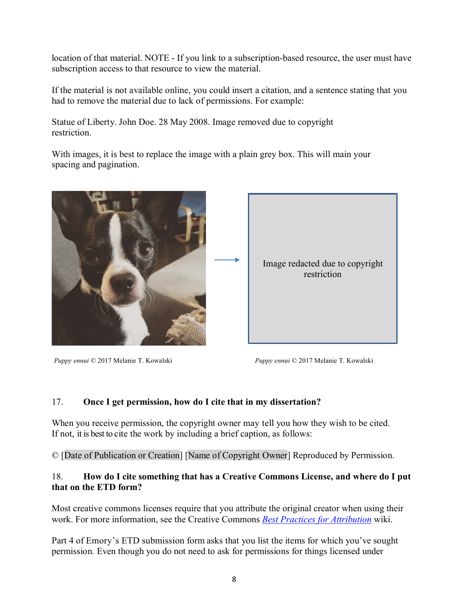location of that material. NOTE - If you link to a subscription-based resource, the user must have subscription access to that resource to view the material.

If the material is not available online, you could insert a citation, and a sentence stating that you had to remove the material due to lack of permissions. For example:

Statue of Liberty. John Doe. 28 May 2008. Image removed due to copyright restriction.

With images, it is best to replace the image with a plain grey box. This will main your spacing and pagination.



*Puppy ennui* © 2017 Melanie T. Kowalski *Puppy ennui* © 2017 Melanie T. Kowalski

### 17. **Once I get permission, how do I cite that in my dissertation?**

When you receive permission, the copyright owner may tell you how they wish to be cited. If not, it is best to cite the work by including a brief caption, as follows:

© [Date of Publication or Creation] [Name of Copyright Owner] Reproduced by Permission.

### 18. **How do I cite something that has a Creative Commons License, and where do I put that on the ETD form?**

Most creative commons licenses require that you attribute the original creator when using their work. For more information, see the Creative Commons *Best Practices for Attribution* wiki.

Part 4 of Emory's ETD submission form asks that you list the items for which you've sought permission. Even though you do not need to ask for permissions for things licensed under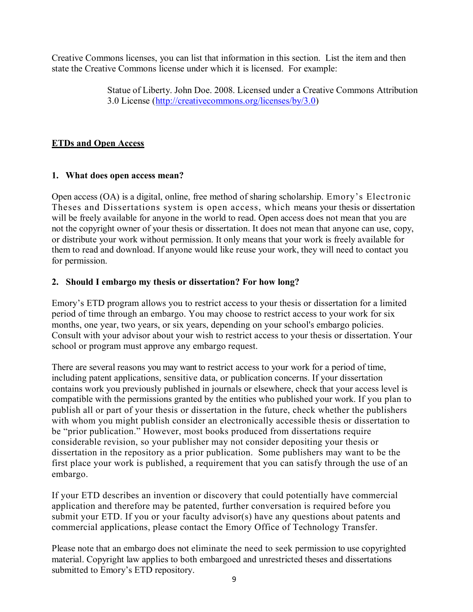Creative Commons licenses, you can list that information in this section. List the item and then state the Creative Commons license under which it is licensed. For example:

> Statue of Liberty. John Doe. 2008. Licensed under a Creative Commons Attribution 3.0 License (http://creativecommons.org/licenses/by/3.0)

## **ETDs and Open Access**

### **1. What does open access mean?**

Open access (OA) is a digital, online, free method of sharing scholarship. Emory's Electronic Theses and Dissertations system is open access, which means your thesis or dissertation will be freely available for anyone in the world to read. Open access does not mean that you are not the copyright owner of your thesis or dissertation. It does not mean that anyone can use, copy, or distribute your work without permission. It only means that your work is freely available for them to read and download. If anyone would like reuse your work, they will need to contact you for permission.

### **2. Should I embargo my thesis or dissertation? For how long?**

Emory's ETD program allows you to restrict access to your thesis or dissertation for a limited period of time through an embargo. You may choose to restrict access to your work for six months, one year, two years, or six years, depending on your school's embargo policies. Consult with your advisor about your wish to restrict access to your thesis or dissertation. Your school or program must approve any embargo request.

There are several reasons you may want to restrict access to your work for a period of time, including patent applications, sensitive data, or publication concerns. If your dissertation contains work you previously published in journals or elsewhere, check that your access level is compatible with the permissions granted by the entities who published your work. If you plan to publish all or part of your thesis or dissertation in the future, check whether the publishers with whom you might publish consider an electronically accessible thesis or dissertation to be "prior publication." However, most books produced from dissertations require considerable revision, so your publisher may not consider depositing your thesis or dissertation in the repository as a prior publication. Some publishers may want to be the first place your work is published, a requirement that you can satisfy through the use of an embargo.

If your ETD describes an invention or discovery that could potentially have commercial application and therefore may be patented, further conversation is required before you submit your ETD. If you or your faculty advisor(s) have any questions about patents and commercial applications, please contact the Emory Office of Technology Transfer.

Please note that an embargo does not eliminate the need to seek permission to use copyrighted material. Copyright law applies to both embargoed and unrestricted theses and dissertations submitted to Emory's ETD repository.